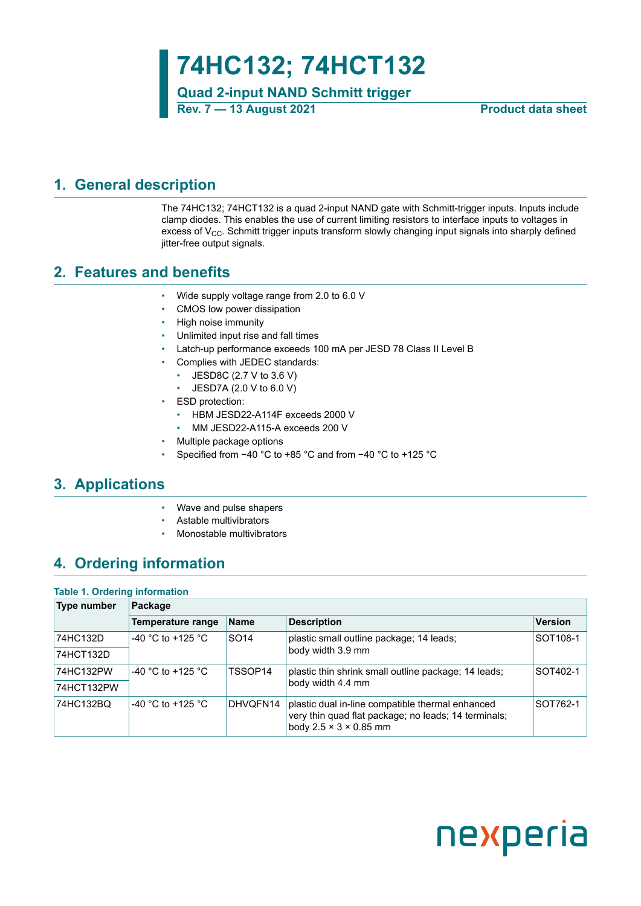**74HC132; 74HCT132**

**Quad 2-input NAND Schmitt trigger Rev. 7 — 13 August 2021 Product data sheet**

### <span id="page-0-1"></span>**1. General description**

The 74HC132; 74HCT132 is a quad 2-input NAND gate with Schmitt-trigger inputs. Inputs include clamp diodes. This enables the use of current limiting resistors to interface inputs to voltages in excess of  $V_{CC}$ . Schmitt trigger inputs transform slowly changing input signals into sharply defined jitter-free output signals.

### <span id="page-0-0"></span>**2. Features and benefits**

- Wide supply voltage range from 2.0 to 6.0 V
- CMOS low power dissipation
- High noise immunity
- Unlimited input rise and fall times
- Latch-up performance exceeds 100 mA per JESD 78 Class II Level B
- Complies with JEDEC standards:
	- JESD8C (2.7 V to 3.6 V)
	- JESD7A (2.0 V to 6.0 V)
- ESD protection:
	- HBM JESD22-A114F exceeds 2000 V
	- MM JESD22-A115-A exceeds 200 V
- Multiple package options
- Specified from −40 °C to +85 °C and from −40 °C to +125 °C

### <span id="page-0-2"></span>**3. Applications**

- Wave and pulse shapers
- Astable multivibrators
- Monostable multivibrators

# <span id="page-0-3"></span>**4. Ordering information**

#### **Table 1. Ordering information**

| <b>Type number</b> | Package                  |                     |                                                                                                                                                |                |  |  |  |  |
|--------------------|--------------------------|---------------------|------------------------------------------------------------------------------------------------------------------------------------------------|----------------|--|--|--|--|
|                    | <b>Temperature range</b> | <b>Name</b>         | <b>Description</b>                                                                                                                             | <b>Version</b> |  |  |  |  |
| 74HC132D           | -40 °C to +125 °C        | SO <sub>14</sub>    | plastic small outline package; 14 leads;                                                                                                       | SOT108-1       |  |  |  |  |
| 74HCT132D          |                          |                     | body width 3.9 mm                                                                                                                              |                |  |  |  |  |
| 74HC132PW          | -40 °C to +125 °C        | TSSOP <sub>14</sub> | plastic thin shrink small outline package; 14 leads;                                                                                           | SOT402-1       |  |  |  |  |
| 74HCT132PW         |                          |                     | body width 4.4 mm                                                                                                                              |                |  |  |  |  |
| 74HC132BQ          | -40 °C to +125 °C        | DHVQFN14            | plastic dual in-line compatible thermal enhanced<br>very thin quad flat package; no leads; 14 terminals;<br>body $2.5 \times 3 \times 0.85$ mm | SOT762-1       |  |  |  |  |

# nexperia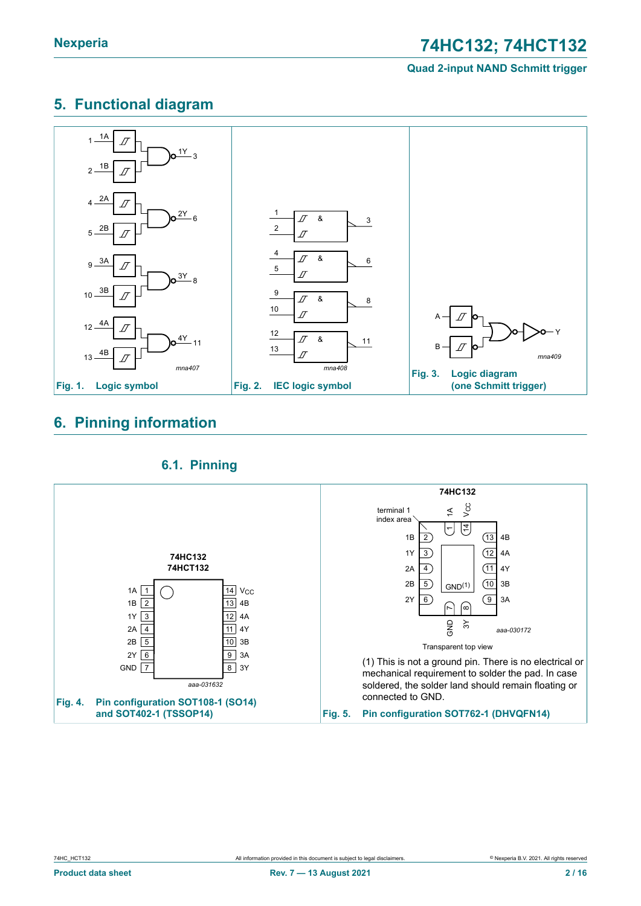# <span id="page-1-0"></span>**5. Functional diagram**



# <span id="page-1-1"></span>**6. Pinning information**

### <span id="page-1-2"></span>**6.1. Pinning**

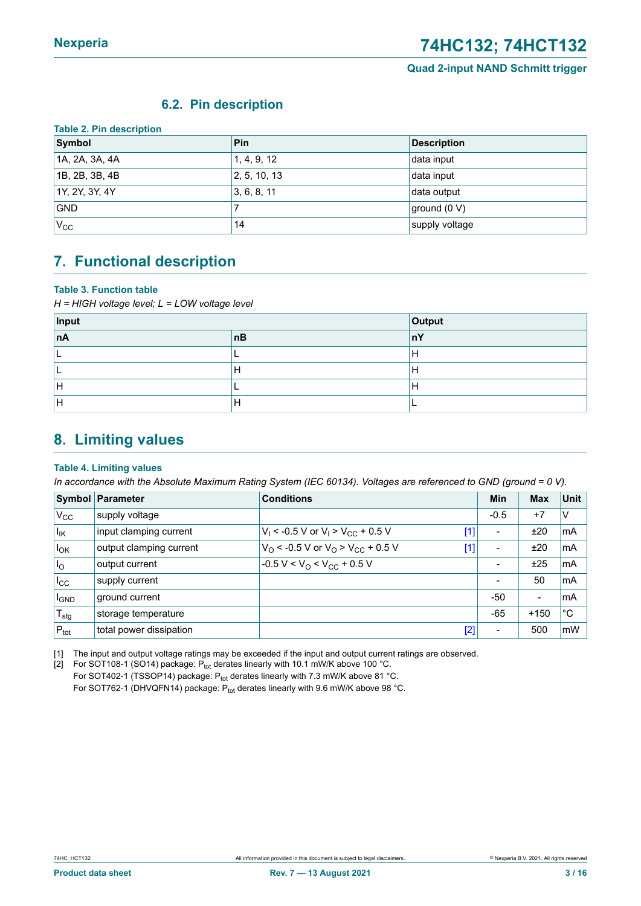### <span id="page-2-2"></span><span id="page-2-0"></span>**6.2. Pin description**

| <b>Table 2. Pin description</b><br>Symbol | Pin                        | <b>Description</b>   |  |  |
|-------------------------------------------|----------------------------|----------------------|--|--|
| 1A, 2A, 3A, 4A                            | 1, 4, 9, 12                | data input           |  |  |
| 1B, 2B, 3B, 4B                            | $\vert 2, 5, 10, 13 \vert$ | ∣data input          |  |  |
| 1Y, 2Y, 3Y, 4Y                            | 3, 6, 8, 11                | data output          |  |  |
| <b>GND</b>                                |                            | $\vert$ ground (0 V) |  |  |
| $V_{\rm CC}$                              | 14                         | supply voltage       |  |  |

## <span id="page-2-3"></span>**7. Functional description**

#### **Table 3. Function table**

*H = HIGH voltage level; L = LOW voltage level*

| Input |    | Output   |
|-------|----|----------|
| nA    | nB | nY       |
|       |    | п        |
|       | н  | H        |
|       |    | −<br>. . |
| −     | н  |          |

## <span id="page-2-4"></span>**8. Limiting values**

#### <span id="page-2-1"></span>**Table 4. Limiting values**

In accordance with the Absolute Maximum Rating System (IEC 60134). Voltages are referenced to GND (ground = 0 V).

|                           | <b>Symbol Parameter</b> | <b>Conditions</b>                                                        | Min                      | <b>Max</b>                   | <b>Unit</b> |
|---------------------------|-------------------------|--------------------------------------------------------------------------|--------------------------|------------------------------|-------------|
| $V_{CC}$                  | supply voltage          |                                                                          | $-0.5$                   | $+7$                         | V           |
| $I_{IK}$                  | input clamping current  | $V_1$ < -0.5 V or $V_1$ > $V_{CC}$ + 0.5 V<br>$[1]$                      | $\overline{\phantom{a}}$ | ±20                          | mA          |
| $I_{OK}$                  | output clamping current | $V_{\Omega}$ < -0.5 V or $V_{\Omega}$ > $V_{\text{CC}}$ + 0.5 V<br>$[1]$ | $\blacksquare$           | ±20                          | mA          |
| I <sub>o</sub>            | output current          | $-0.5 V < VO < VCC + 0.5 V$                                              | $\overline{\phantom{a}}$ | ±25                          | mA          |
| $I_{\rm CC}$              | supply current          |                                                                          | $\overline{\phantom{a}}$ | 50                           | mA          |
| <b>I<sub>GND</sub></b>    | ground current          |                                                                          | -50                      | $\qquad \qquad \blacksquare$ | mA          |
| $\mathsf{T}_{\text{stg}}$ | storage temperature     |                                                                          | $-65$                    | $+150$                       | $^{\circ}C$ |
| $P_{\text{tot}}$          | total power dissipation | $[2]$                                                                    | $\blacksquare$           | 500                          | mW          |

[1] The input and output voltage ratings may be exceeded if the input and output current ratings are observed.

[2] For SOT108-1 (SO14) package:  $\overline{P_{\text{tot}}}$  derates linearly with 10.1 mW/K above 100 °C. For SOT402-1 (TSSOP14) package: Ptot derates linearly with 7.3 mW/K above 81 °C.

For SOT762-1 (DHVQFN14) package: P<sub>tot</sub> derates linearly with 9.6 mW/K above 98 °C.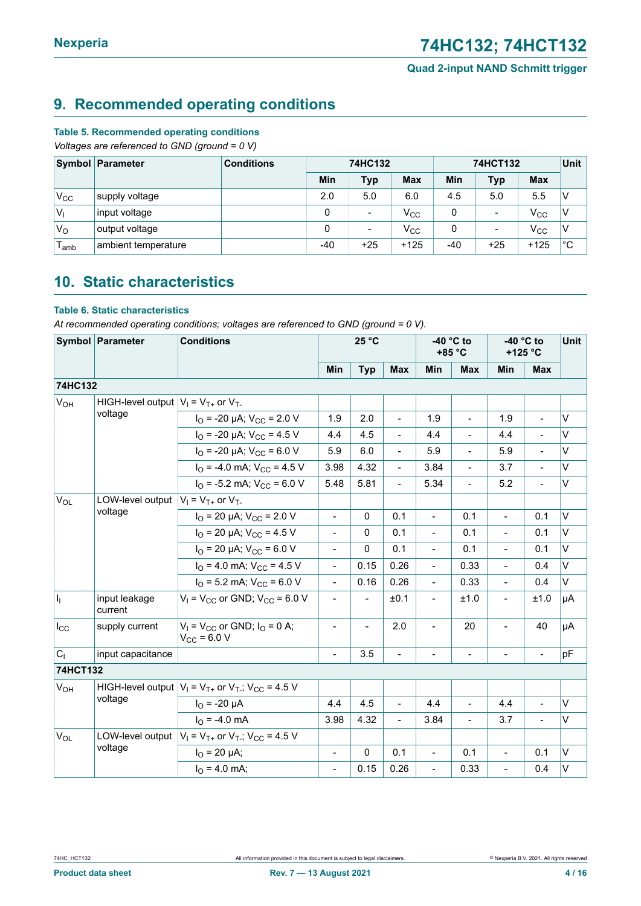# <span id="page-3-0"></span>**9. Recommended operating conditions**

#### **Table 5. Recommended operating conditions**

*Voltages are referenced to GND (ground = 0 V)*

|              | Symbol Parameter    | <b>Conditions</b> | 74HC132 |            |              | 74HCT132 | <b>Unit</b> |              |     |
|--------------|---------------------|-------------------|---------|------------|--------------|----------|-------------|--------------|-----|
|              |                     |                   | Min     | <b>Typ</b> | <b>Max</b>   | Min      | <b>Typ</b>  | <b>Max</b>   |     |
| $V_{\rm CC}$ | supply voltage      |                   | 2.0     | 5.0        | 6.0          | 4.5      | 5.0         | 5.5          |     |
| $V_{1}$      | input voltage       |                   | 0       |            | $V_{\rm CC}$ | 0        |             | $V_{\rm CC}$ |     |
| $V_{\rm O}$  | output voltage      |                   | 0       |            | $V_{\rm CC}$ | 0        |             | $V_{\rm CC}$ | ١v  |
| amb          | ambient temperature |                   | $-40$   | $+25$      | $+125$       | $-40$    | $+25$       | $+125$       | ١°С |

## <span id="page-3-1"></span>**10. Static characteristics**

#### **Table 6. Static characteristics**

*At recommended operating conditions; voltages are referenced to GND (ground = 0 V).*

| Symbol Parameter    |                                               | <b>Conditions</b>                                                |                          | 25 °C        |                | -40 °C to<br>+85 °C      |                          | -40 °C to<br>$+125 °C$ |                | Unit   |
|---------------------|-----------------------------------------------|------------------------------------------------------------------|--------------------------|--------------|----------------|--------------------------|--------------------------|------------------------|----------------|--------|
|                     |                                               |                                                                  | Min                      | <b>Typ</b>   | <b>Max</b>     | <b>Min</b>               | <b>Max</b>               | Min                    | <b>Max</b>     |        |
| 74HC132             |                                               |                                                                  |                          |              |                |                          |                          |                        |                |        |
| $ V_{OH} $          | HIGH-level output $ V_1 = V_{T+}$ or $V_{T-}$ |                                                                  |                          |              |                |                          |                          |                        |                |        |
|                     | voltage                                       | $I_{\text{O}}$ = -20 µA; $V_{\text{CC}}$ = 2.0 V                 | 1.9                      | 2.0          | $\blacksquare$ | 1.9                      | $\overline{\phantom{a}}$ | 1.9                    | $\blacksquare$ | $\vee$ |
|                     |                                               | $I_{\text{O}}$ = -20 µA; $V_{\text{CC}}$ = 4.5 V                 | 4.4                      | 4.5          | $\frac{1}{2}$  | 4.4                      |                          | 4.4                    | $\frac{1}{2}$  | V      |
|                     |                                               | $I_{\Omega}$ = -20 µA; $V_{\text{CC}}$ = 6.0 V                   | 5.9                      | 6.0          | $\frac{1}{2}$  | 5.9                      | $\overline{\phantom{a}}$ | 5.9                    | $\overline{a}$ | $\vee$ |
|                     |                                               | $I_{\Omega}$ = -4.0 mA; $V_{\text{CC}}$ = 4.5 V                  | 3.98                     | 4.32         | $\blacksquare$ | 3.84                     | $\frac{1}{2}$            | 3.7                    | $\blacksquare$ | V      |
|                     |                                               | $I_{\Omega}$ = -5.2 mA; $V_{\text{CC}}$ = 6.0 V                  | 5.48                     | 5.81         | $\frac{1}{2}$  | 5.34                     | $\frac{1}{2}$            | 5.2                    | $\frac{1}{2}$  | V      |
| $V_{OL}$<br>voltage | LOW-level output                              | $V_1 = V_{T+}$ or $V_{T-}$                                       |                          |              |                |                          |                          |                        |                |        |
|                     |                                               | $I_{\Omega}$ = 20 µA; $V_{\text{CC}}$ = 2.0 V                    | $\overline{a}$           | $\Omega$     | 0.1            | $\overline{a}$           | 0.1                      | $\overline{a}$         | 0.1            | $\vee$ |
|                     |                                               | $I_{\text{O}}$ = 20 µA; $V_{\text{CC}}$ = 4.5 V                  | $\frac{1}{2}$            | $\mathbf{0}$ | 0.1            | $\overline{\phantom{a}}$ | 0.1                      | $\blacksquare$         | 0.1            | V      |
|                     |                                               | $I_{\Omega}$ = 20 µA; $V_{\text{CC}}$ = 6.0 V                    | $\overline{\phantom{a}}$ | 0            | 0.1            | $\blacksquare$           | 0.1                      | $\frac{1}{2}$          | 0.1            | V      |
|                     |                                               | $IO$ = 4.0 mA; $VCC$ = 4.5 V                                     | $\blacksquare$           | 0.15         | 0.26           | $\overline{\phantom{0}}$ | 0.33                     | $\frac{1}{2}$          | 0.4            | V      |
|                     |                                               | $I_{\text{O}}$ = 5.2 mA; $V_{\text{CC}}$ = 6.0 V                 | $\blacksquare$           | 0.16         | 0.26           | $\overline{\phantom{a}}$ | 0.33                     | $\overline{a}$         | 0.4            | V      |
| h,                  | input leakage<br>current                      | $V_1$ = $V_{CC}$ or GND; $V_{CC}$ = 6.0 V                        | $\blacksquare$           |              | ±0.1           | $\blacksquare$           | ±1.0                     | $\blacksquare$         | ±1.0           | μA     |
| $I_{\rm CC}$        | supply current                                | $V_1 = V_{CC}$ or GND; $I_0 = 0$ A;<br>$V_{CC}$ = 6.0 V          | $\overline{\phantom{a}}$ |              | 2.0            | $\overline{\phantom{a}}$ | 20                       | $\frac{1}{2}$          | 40             | μA     |
| $ C_1 $             | input capacitance                             |                                                                  | $\blacksquare$           | 3.5          | $\blacksquare$ |                          | $\blacksquare$           | $\blacksquare$         | $\blacksquare$ | pF     |
| 74HCT132            |                                               |                                                                  |                          |              |                |                          |                          |                        |                |        |
| $V_{OH}$            |                                               | HIGH-level output $ V_1 = V_{T+}$ or $V_{T-}$ ; $V_{CC} = 4.5$ V |                          |              |                |                          |                          |                        |                |        |
|                     | voltage                                       | $I_{\Omega}$ = -20 µA                                            | 4.4                      | 4.5          | $\blacksquare$ | 4.4                      | $\blacksquare$           | 4.4                    | $\blacksquare$ | V      |
|                     |                                               | $IO = -4.0$ mA                                                   | 3.98                     | 4.32         | $\blacksquare$ | 3.84                     | $\frac{1}{2}$            | 3.7                    | $\overline{a}$ | V      |
| $V_{OL}$            | LOW-level output                              | $V_1 = V_{T+}$ or $V_{T-}$ ; $V_{CC} = 4.5$ V                    |                          |              |                |                          |                          |                        |                |        |
|                     | voltage                                       | $I_{\Omega}$ = 20 µA;                                            | $\blacksquare$           | $\Omega$     | 0.1            | $\blacksquare$           | 0.1                      | $\blacksquare$         | 0.1            | $\vee$ |
|                     |                                               | $I_{\Omega}$ = 4.0 mA;                                           | $\overline{\phantom{a}}$ | 0.15         | 0.26           | $\frac{1}{2}$            | 0.33                     | $\blacksquare$         | 0.4            | V      |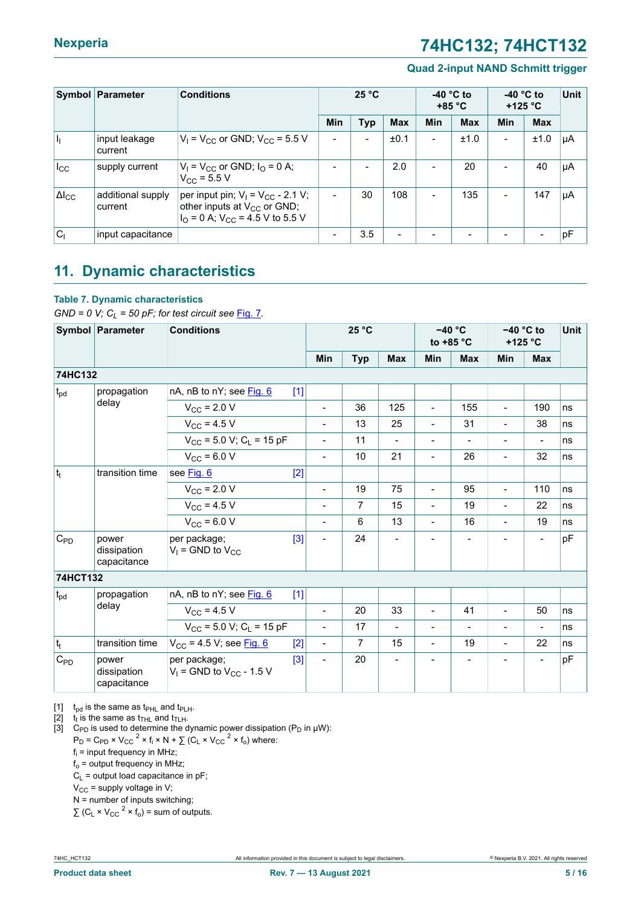### **Quad 2-input NAND Schmitt trigger**

<span id="page-4-0"></span>

|                     | Symbol Parameter<br><b>Conditions</b> |                                                                                                                                       | 25 °C                        |            |                | -40 $^{\circ}$ C to<br>$+85 °C$ |            | $-40$ °C to<br>+125 $^{\circ}$ C |            | Unit |
|---------------------|---------------------------------------|---------------------------------------------------------------------------------------------------------------------------------------|------------------------------|------------|----------------|---------------------------------|------------|----------------------------------|------------|------|
|                     |                                       |                                                                                                                                       | Min                          | <b>Typ</b> | <b>Max</b>     | Min                             | <b>Max</b> | <b>Min</b>                       | <b>Max</b> |      |
| h                   | input leakage<br>current              | $V_1$ = $V_{CC}$ or GND; $V_{CC}$ = 5.5 V                                                                                             | $\overline{\phantom{0}}$     |            | ±0.1           | $\overline{\phantom{a}}$        | ±1.0       | $\blacksquare$                   | ±1.0       | µA   |
| $I_{\rm CC}$        | supply current                        | $V_1 = V_{CC}$ or GND; $I_0 = 0$ A;<br>$V_{\rm CC}$ = 5.5 V                                                                           |                              |            | 2.0            |                                 | 20         | Ξ.                               | 40         | µA   |
| $\Delta I_{\rm CC}$ | additional supply<br>current          | per input pin; $V_1 = V_{CC} - 2.1 V$ ;<br>other inputs at $V_{CC}$ or GND;<br>$I_{\text{O}}$ = 0 A; V <sub>CC</sub> = 4.5 V to 5.5 V | $\qquad \qquad \blacksquare$ | 30         | 108            | $\overline{\phantom{0}}$        | 135        | $\overline{\phantom{0}}$         | 147        | µA   |
| $C_1$               | input capacitance                     |                                                                                                                                       | -                            | 3.5        | $\blacksquare$ |                                 |            |                                  |            | pF   |

# <span id="page-4-1"></span>**11. Dynamic characteristics**

#### **Table 7. Dynamic characteristics**

*GND = 0 V;*  $C_L$  = 50 pF; for test circuit see  $Fig. 7$ .

|              | Symbol Parameter                    | <b>Conditions</b>                                        | 25 °C                        |                | $-40 °C$<br>to +85 $^{\circ}$ C |                          | $-40$ °C to<br>$+125 °C$ |                          | <b>Unit</b>              |     |
|--------------|-------------------------------------|----------------------------------------------------------|------------------------------|----------------|---------------------------------|--------------------------|--------------------------|--------------------------|--------------------------|-----|
|              |                                     |                                                          | Min                          | <b>Typ</b>     | <b>Max</b>                      | Min                      | Max                      | Min                      | <b>Max</b>               |     |
| 74HC132      |                                     |                                                          |                              |                |                                 |                          |                          |                          |                          |     |
| $t_{\rm pd}$ | propagation                         | $[1]$<br>nA, nB to nY; see Fig. 6                        |                              |                |                                 |                          |                          |                          |                          |     |
|              | delay                               | $V_{\text{CC}}$ = 2.0 V                                  | $\overline{\phantom{0}}$     | 36             | 125                             | $\blacksquare$           | 155                      | $\blacksquare$           | 190                      | ns  |
|              |                                     | $V_{\rm CC}$ = 4.5 V                                     | $\overline{\phantom{0}}$     | 13             | 25                              | $\blacksquare$           | 31                       | $\blacksquare$           | 38                       | ns  |
|              |                                     | $V_{CC}$ = 5.0 V; C <sub>L</sub> = 15 pF                 | $\overline{\phantom{0}}$     | 11             |                                 | $\blacksquare$           |                          | $\blacksquare$           | $\blacksquare$           | ns  |
|              |                                     | $V_{\rm CC}$ = 6.0 V                                     | $\overline{\phantom{0}}$     | 10             | 21                              | $\blacksquare$           | 26                       | $\overline{a}$           | 32                       | ns  |
| $ t_t $      | transition time                     | $[2]$<br>see Fig. 6                                      |                              |                |                                 |                          |                          |                          |                          |     |
|              |                                     | $V_{\text{CC}}$ = 2.0 V                                  | $\overline{\phantom{a}}$     | 19             | 75                              | $\blacksquare$           | 95                       | $\overline{\phantom{a}}$ | 110                      | Ins |
|              |                                     | $V_{\rm CC}$ = 4.5 V                                     | $\qquad \qquad \blacksquare$ | $\overline{7}$ | 15                              | $\overline{\phantom{0}}$ | 19                       | $\blacksquare$           | 22                       | ns  |
|              |                                     | $V_{CC}$ = 6.0 V                                         | $\blacksquare$               | 6              | 13                              | $\blacksquare$           | 16                       | $\blacksquare$           | 19                       | ns  |
| $C_{PD}$     | power<br>dissipation<br>capacitance | $[3]$<br>per package;<br>$V_1$ = GND to $V_{CC}$         | $\overline{\phantom{0}}$     | 24             |                                 |                          |                          |                          |                          | pF  |
| 74HCT132     |                                     |                                                          |                              |                |                                 |                          |                          |                          |                          |     |
| $t_{\rm pd}$ | propagation                         | $[1]$<br>nA, nB to nY; see Fig. 6                        |                              |                |                                 |                          |                          |                          |                          |     |
|              | delay                               | $V_{\rm CC}$ = 4.5 V                                     | $\blacksquare$               | 20             | 33                              | $\blacksquare$           | 41                       | $\blacksquare$           | 50                       | ns  |
|              |                                     | $V_{CC}$ = 5.0 V; C <sub>L</sub> = 15 pF                 | $\blacksquare$               | 17             | $\blacksquare$                  | $\overline{\phantom{a}}$ | -                        | $\overline{\phantom{a}}$ | $\overline{\phantom{a}}$ | Ins |
| $t_t$        | transition time                     | $[2]$<br>$V_{CC}$ = 4.5 V; see Fig. 6                    | $\overline{\phantom{0}}$     | $\overline{7}$ | 15                              | $\blacksquare$           | 19                       | $\blacksquare$           | 22                       | ns  |
| $C_{PD}$     | power<br>dissipation<br>capacitance | $[3]$<br>per package;<br>$V_1$ = GND to $V_{CC}$ - 1.5 V | $\overline{\phantom{a}}$     | 20             | $\blacksquare$                  |                          | $\blacksquare$           | $\overline{\phantom{0}}$ | $\overline{\phantom{a}}$ | pF  |

[1]  $\;$  t<sub>pd</sub> is the same as t<sub>PHL</sub> and t<sub>PLH</sub>.

[2]  $t_{\rm t}$  is the same as  $t_{\rm THL}$  and  $t_{\rm TLH}$ .

[3]  $\,$  C<sub>PD</sub> is used to determine the dynamic power dissipation (P<sub>D</sub> in μW):

 $P_D = C_{PD} \times V_{CC}^2 \times f_i \times N + \sum (C_L \times V_{CC}^2 \times f_o)$  where:

fi = input frequency in MHz;

 $f_0$  = output frequency in MHz;

 $C_L$  = output load capacitance in pF;

 $V_{CC}$  = supply voltage in V;

N = number of inputs switching;

 $\sum$  (C<sub>L</sub> × V<sub>CC</sub> <sup>2</sup> × f<sub>o</sub>) = sum of outputs.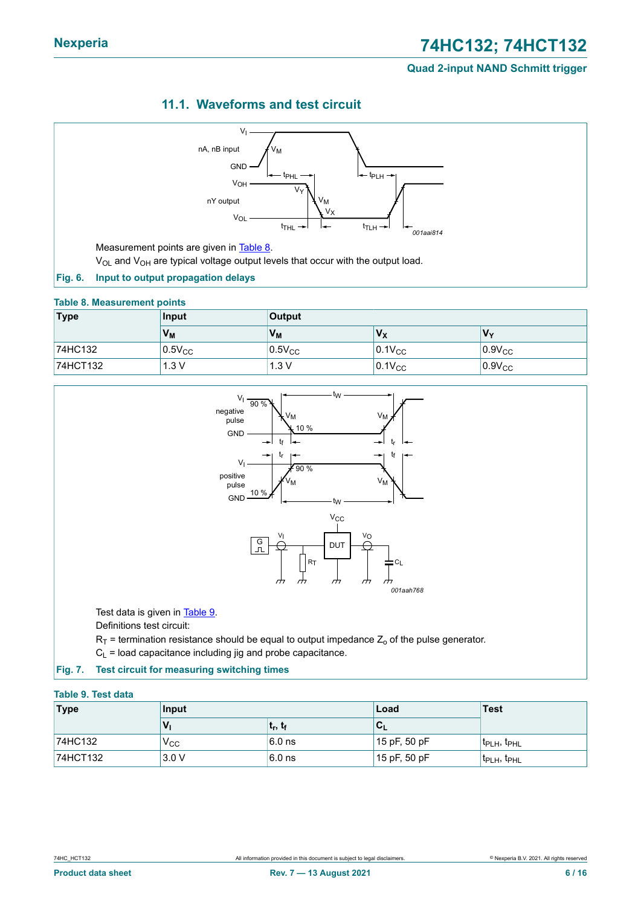### **Quad 2-input NAND Schmitt trigger**

### <span id="page-5-4"></span>**11.1. Waveforms and test circuit**

<span id="page-5-1"></span>

<span id="page-5-2"></span> $V_{OL}$  and  $V_{OH}$  are typical voltage output levels that occur with the output load.

#### **Fig. 6. Input to output propagation delays**

#### **Table 8. Measurement points**

| <b>Type</b> | Input                | <b>Output</b> |             |             |  |  |  |
|-------------|----------------------|---------------|-------------|-------------|--|--|--|
|             | $V_M$                | $V_M$         | Vχ          | V.          |  |  |  |
| 74HC132     | $10.5$ V $_{\rm CC}$ | $0.5V_{CC}$   | $0.1V_{CC}$ | $0.9V_{CC}$ |  |  |  |
| 74HCT132    | 1.3V                 | 1.3V          | $0.1V_{CC}$ | $0.9V_{CC}$ |  |  |  |

<span id="page-5-0"></span>

Definitions test circuit:

 $R_T$  = termination resistance should be equal to output impedance  $Z_0$  of the pulse generator.

<span id="page-5-3"></span> $C_L$  = load capacitance including jig and probe capacitance.

#### **Fig. 7. Test circuit for measuring switching times**

#### **Table 9. Test data**

| Type           | Input        |          | ∣Load        | <b>Test</b>                          |  |
|----------------|--------------|----------|--------------|--------------------------------------|--|
|                |              | լ եր, եք |              |                                      |  |
| <b>74HC132</b> | $V_{\rm CC}$ | 16.0 ns  | 15 pF, 50 pF | ∣t <sub>PLH</sub> , t <sub>PHL</sub> |  |
| 74HCT132       | 3.0V         | 16.0 ns  | 15 pF, 50 pF | <b>Ն</b> բլн, Նբнլ                   |  |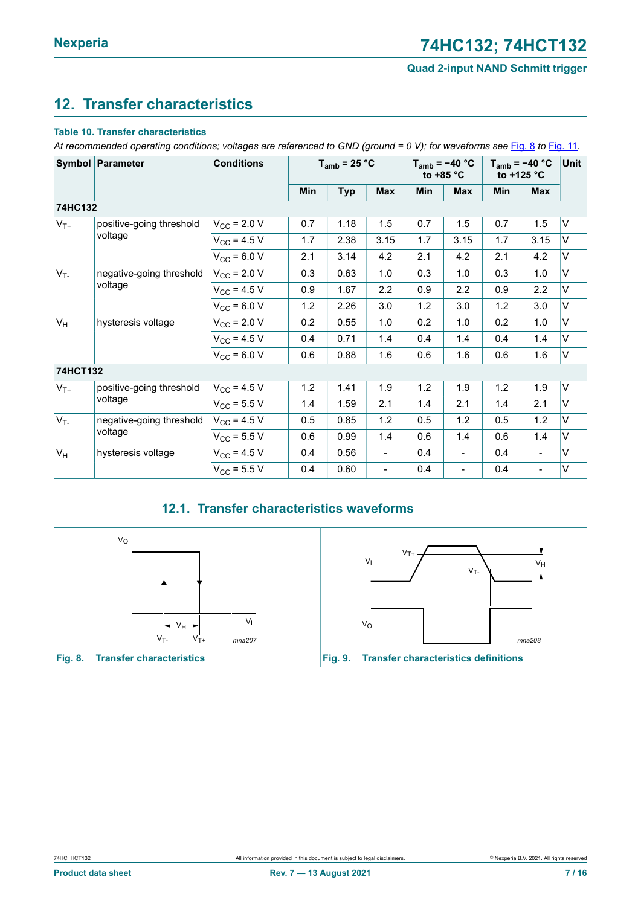# <span id="page-6-1"></span>**12. Transfer characteristics**

### **Table 10. Transfer characteristics**

At recommended operating conditions; voltages are referenced to GND (ground = 0 V); for waveforms see [Fig. 8](#page-6-0) to [Fig.](#page-7-0) 11.

|          | Symbol Parameter         | <b>Conditions</b>    |     | $T_{amb}$ = 25 °C |                              |     | $T_{amb} = -40 °C$<br>to $+85 °C$ |     | $T_{amb} = -40 °C$<br>to +125 $\degree$ C |        |
|----------|--------------------------|----------------------|-----|-------------------|------------------------------|-----|-----------------------------------|-----|-------------------------------------------|--------|
|          |                          |                      | Min | <b>Typ</b>        | <b>Max</b>                   | Min | Max                               | Min | <b>Max</b>                                |        |
| 74HC132  |                          |                      |     |                   |                              |     |                                   |     |                                           |        |
| $V_{T+}$ | positive-going threshold | $V_{CC}$ = 2.0 V     | 0.7 | 1.18              | 1.5                          | 0.7 | 1.5                               | 0.7 | 1.5                                       | V      |
|          | voltage                  | $V_{CC}$ = 4.5 V     | 1.7 | 2.38              | 3.15                         | 1.7 | 3.15                              | 1.7 | 3.15                                      | V      |
|          |                          | $V_{CC}$ = 6.0 V     | 2.1 | 3.14              | 4.2                          | 2.1 | 4.2                               | 2.1 | 4.2                                       | V      |
| $V_T$    | negative-going threshold | $V_{CC}$ = 2.0 V     | 0.3 | 0.63              | 1.0                          | 0.3 | 1.0                               | 0.3 | 1.0                                       | V      |
|          | voltage                  | $V_{CC}$ = 4.5 V     | 0.9 | 1.67              | 2.2                          | 0.9 | 2.2                               | 0.9 | 2.2                                       | V      |
|          |                          | $V_{CC}$ = 6.0 V     | 1.2 | 2.26              | 3.0                          | 1.2 | 3.0                               | 1.2 | 3.0                                       | V      |
| $V_H$    | hysteresis voltage       | $V_{\rm CC}$ = 2.0 V | 0.2 | 0.55              | 1.0                          | 0.2 | 1.0                               | 0.2 | 1.0                                       | V      |
|          |                          | $V_{CC}$ = 4.5 V     | 0.4 | 0.71              | 1.4                          | 0.4 | 1.4                               | 0.4 | 1.4                                       | V      |
|          |                          | $V_{CC}$ = 6.0 V     | 0.6 | 0.88              | 1.6                          | 0.6 | 1.6                               | 0.6 | 1.6                                       | V      |
| 74HCT132 |                          |                      |     |                   |                              |     |                                   |     |                                           |        |
| $V_{T+}$ | positive-going threshold | $V_{CC}$ = 4.5 V     | 1.2 | 1.41              | 1.9                          | 1.2 | 1.9                               | 1.2 | 1.9                                       | V      |
|          | voltage                  | $V_{CC}$ = 5.5 V     | 1.4 | 1.59              | 2.1                          | 1.4 | 2.1                               | 1.4 | 2.1                                       | V      |
| $V_T$    | negative-going threshold | $V_{CC}$ = 4.5 V     | 0.5 | 0.85              | 1.2                          | 0.5 | 1.2                               | 0.5 | 1.2                                       | V      |
|          | voltage                  | $V_{CC}$ = 5.5 V     | 0.6 | 0.99              | 1.4                          | 0.6 | 1.4                               | 0.6 | 1.4                                       | V      |
| $V_H$    | hysteresis voltage       | $V_{CC}$ = 4.5 V     | 0.4 | 0.56              | $\qquad \qquad \blacksquare$ | 0.4 | $\overline{\phantom{a}}$          | 0.4 | $\overline{\phantom{a}}$                  | V      |
|          |                          | $V_{CC}$ = 5.5 V     | 0.4 | 0.60              | $\qquad \qquad \blacksquare$ | 0.4 | $\overline{\phantom{a}}$          | 0.4 | $\overline{\phantom{0}}$                  | $\vee$ |

### <span id="page-6-2"></span>**12.1. Transfer characteristics waveforms**

<span id="page-6-0"></span>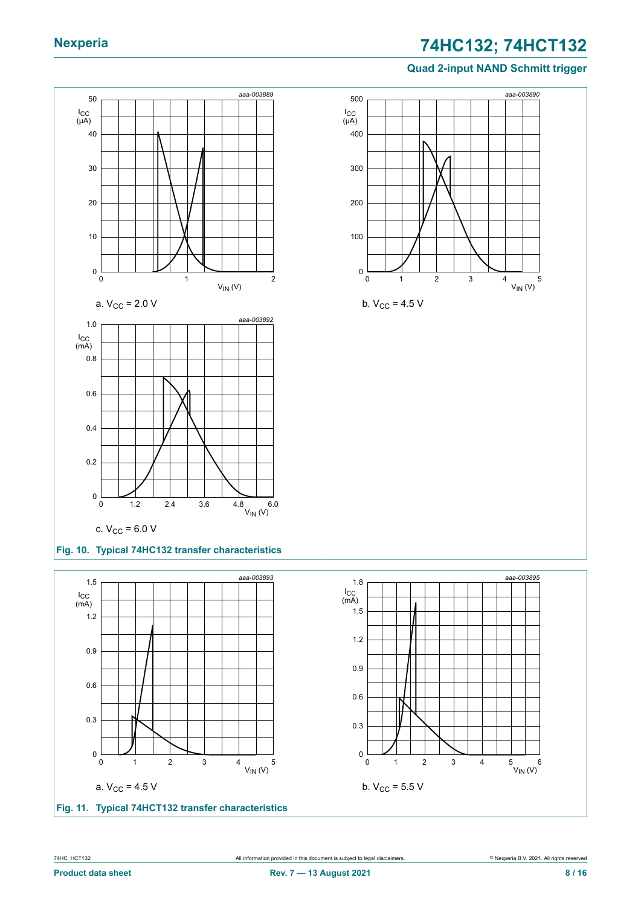*aaa-003890*

### **Quad 2-input NAND Schmitt trigger**



<span id="page-7-0"></span>



b.  $V_{CC}$  = 4.5 V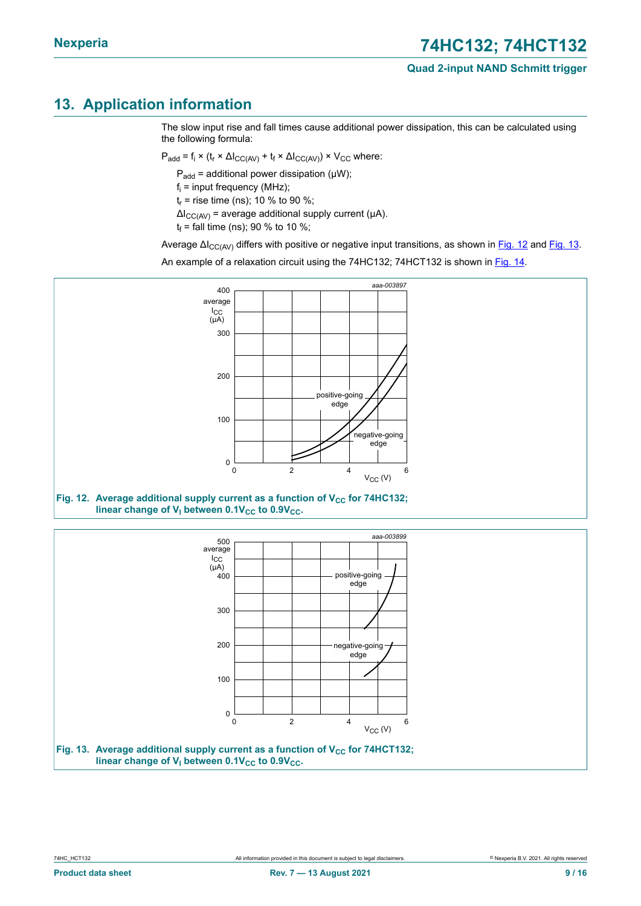# <span id="page-8-2"></span>**13. Application information**

The slow input rise and fall times cause additional power dissipation, this can be calculated using the following formula:

 $P_{add} = f_i \times (t_r \times ΔI_{CC(AV)} + t_f \times ΔI_{CC(AV)}) \times V_{CC}$  where:

 $P_{add}$  = additional power dissipation ( $\mu$ W);

fi = input frequency (MHz);

 $t_r$  = rise time (ns); 10 % to 90 %;

ΔI $_{\rm CC(AV)}$  = average additional supply current (μA).

 $t_f$  = fall time (ns); 90 % to 10 %;

Average  $\Delta l_{CC(AV)}$  differs with positive or negative input transitions, as shown in [Fig. 12](#page-8-0) and [Fig. 13.](#page-8-1)

An example of a relaxation circuit using the 74HC132; 74HCT132 is shown in [Fig. 14](#page-9-0).

<span id="page-8-1"></span><span id="page-8-0"></span>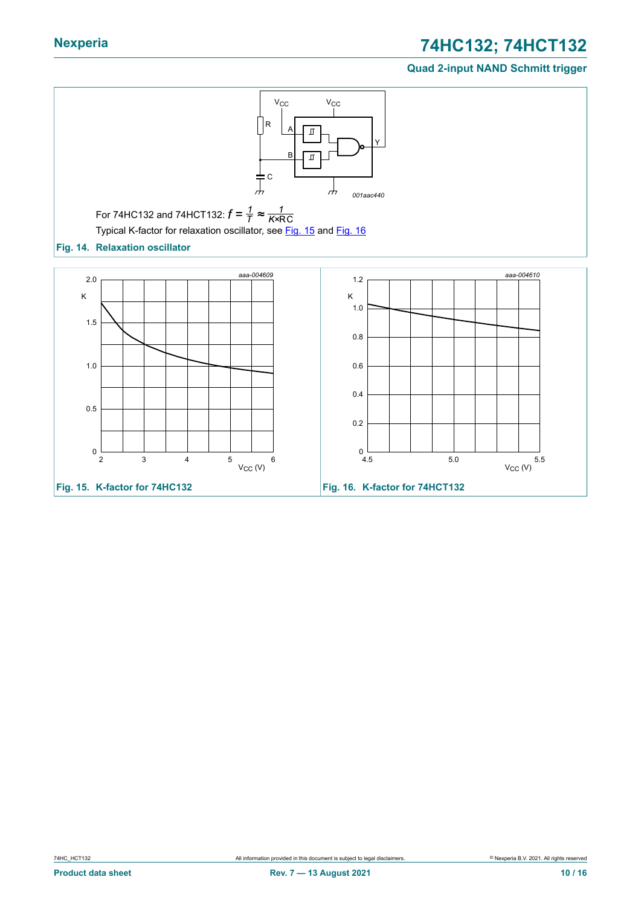### <span id="page-9-2"></span>**Quad 2-input NAND Schmitt trigger**

<span id="page-9-1"></span><span id="page-9-0"></span>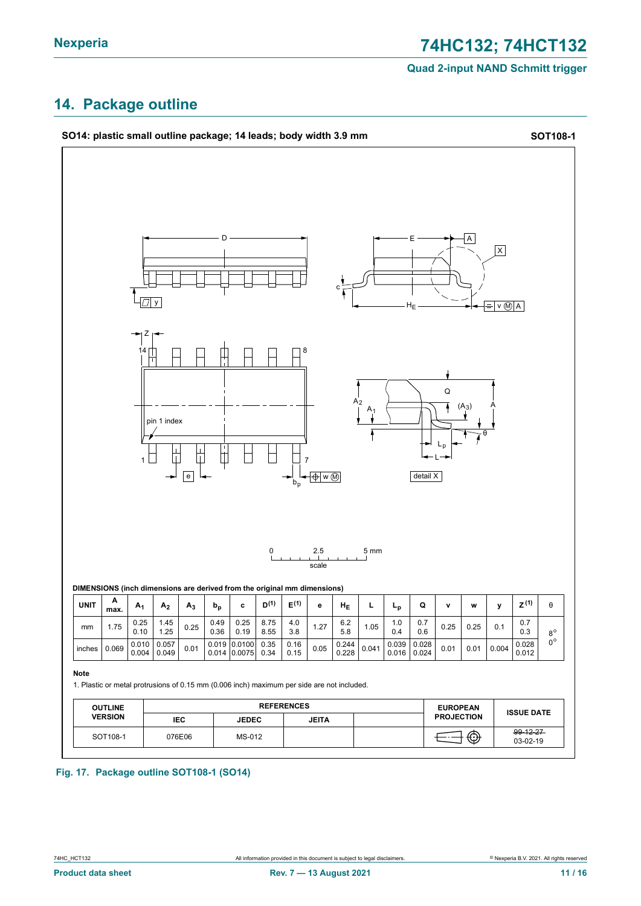# <span id="page-10-0"></span>**14. Package outline**



#### **Fig. 17. Package outline SOT108-1 (SO14)**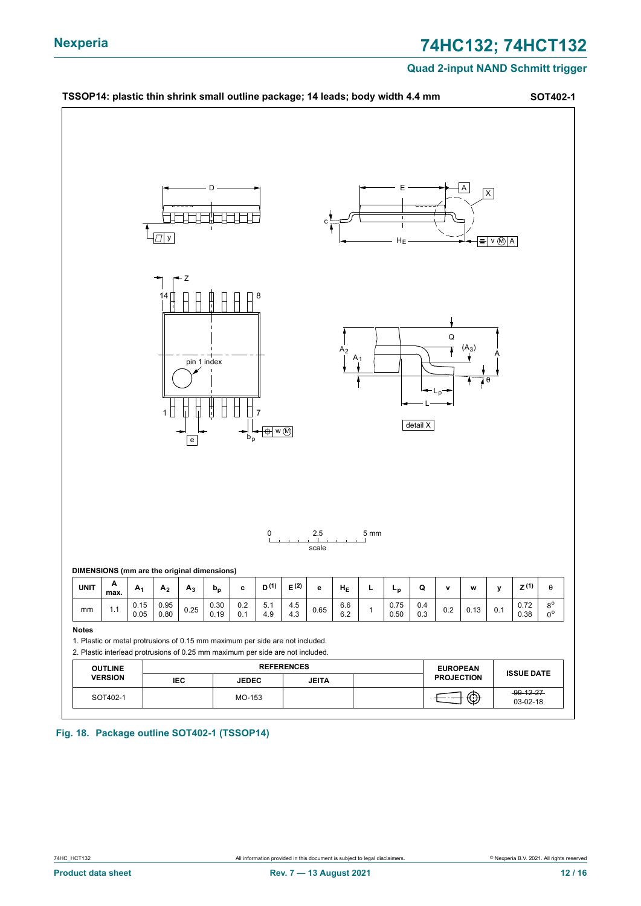

**Fig. 18. Package outline SOT402-1 (TSSOP14)**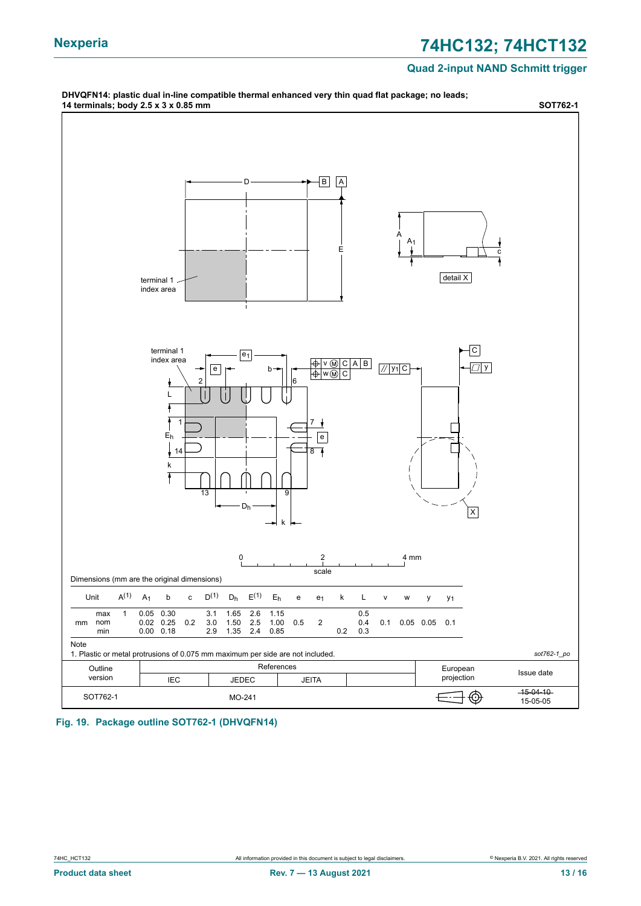### **Quad 2-input NAND Schmitt trigger**



**Fig. 19. Package outline SOT762-1 (DHVQFN14)**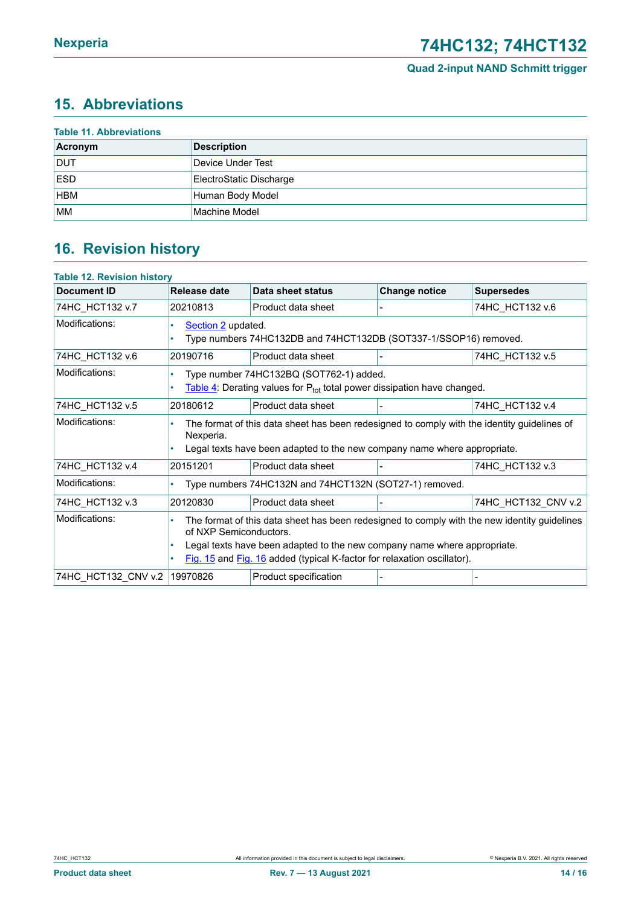# <span id="page-13-0"></span>**15. Abbreviations**

| <b>Table 11. Abbreviations</b> |                         |  |  |  |  |  |
|--------------------------------|-------------------------|--|--|--|--|--|
| Acronym                        | <b>Description</b>      |  |  |  |  |  |
| DUT                            | Device Under Test       |  |  |  |  |  |
| <b>ESD</b>                     | ElectroStatic Discharge |  |  |  |  |  |
| <b>HBM</b>                     | Human Body Model        |  |  |  |  |  |
| <b>MM</b>                      | Machine Model           |  |  |  |  |  |

# <span id="page-13-1"></span>**16. Revision history**

| <b>Table 12. Revision history</b> |                                                                                                                                                                                                                                                                               |                       |                      |                     |  |  |
|-----------------------------------|-------------------------------------------------------------------------------------------------------------------------------------------------------------------------------------------------------------------------------------------------------------------------------|-----------------------|----------------------|---------------------|--|--|
| Document ID                       | Release date                                                                                                                                                                                                                                                                  | Data sheet status     | <b>Change notice</b> | <b>Supersedes</b>   |  |  |
| 74HC_HCT132 v.7                   | 20210813                                                                                                                                                                                                                                                                      | Product data sheet    |                      | 74HC HCT132 v.6     |  |  |
| Modifications:                    | Section 2 updated.<br>Type numbers 74HC132DB and 74HCT132DB (SOT337-1/SSOP16) removed.                                                                                                                                                                                        |                       |                      |                     |  |  |
| 74HC HCT132 v.6                   | 20190716                                                                                                                                                                                                                                                                      | Product data sheet    |                      | 74HC HCT132 v.5     |  |  |
| Modifications:                    | Type number 74HC132BQ (SOT762-1) added.<br>Table 4: Derating values for $P_{\text{tot}}$ total power dissipation have changed.                                                                                                                                                |                       |                      |                     |  |  |
| 74HC HCT132 v.5                   | 20180612                                                                                                                                                                                                                                                                      | Product data sheet    |                      | 74HC HCT132 v.4     |  |  |
| Modifications:                    | The format of this data sheet has been redesigned to comply with the identity guidelines of<br>Nexperia.<br>Legal texts have been adapted to the new company name where appropriate.                                                                                          |                       |                      |                     |  |  |
| 74HC HCT132 v.4                   | 20151201                                                                                                                                                                                                                                                                      | Product data sheet    |                      | 74HC HCT132 v.3     |  |  |
| Modifications:                    | Type numbers 74HC132N and 74HCT132N (SOT27-1) removed.                                                                                                                                                                                                                        |                       |                      |                     |  |  |
| 74HC HCT132 v.3                   | 20120830                                                                                                                                                                                                                                                                      | Product data sheet    |                      | 74HC_HCT132_CNV v.2 |  |  |
| Modifications:                    | The format of this data sheet has been redesigned to comply with the new identity guidelines<br>of NXP Semiconductors.<br>Legal texts have been adapted to the new company name where appropriate.<br>Fig. 15 and Fig. 16 added (typical K-factor for relaxation oscillator). |                       |                      |                     |  |  |
| 74HC HCT132 CNV v.2               | 19970826                                                                                                                                                                                                                                                                      | Product specification |                      |                     |  |  |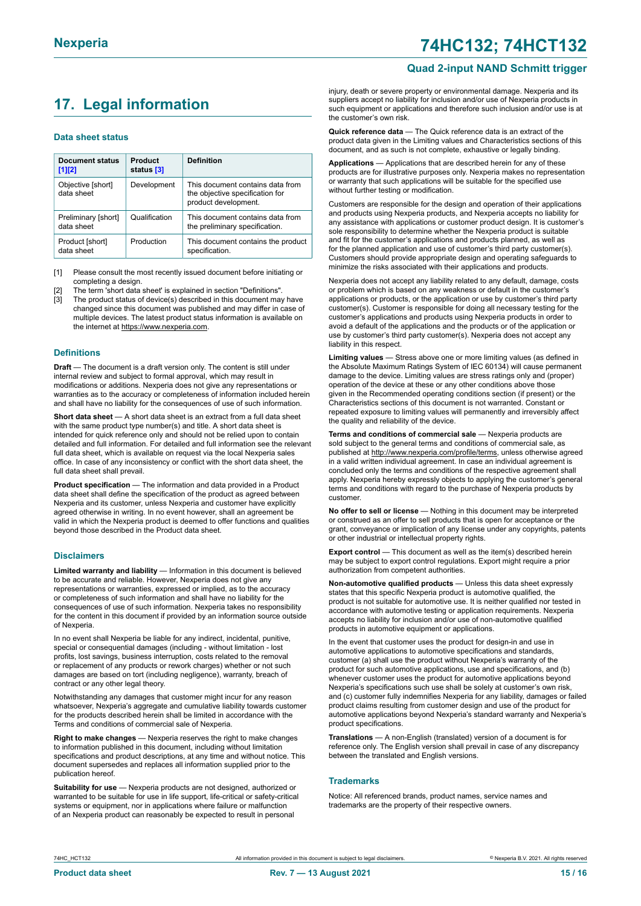# <span id="page-14-0"></span>**17. Legal information**

#### **Data sheet status**

| Document status<br>$[1]$ [2]      | Product<br>status [3] | <b>Definition</b>                                                                           |
|-----------------------------------|-----------------------|---------------------------------------------------------------------------------------------|
| Objective [short]<br>data sheet   | Development           | This document contains data from<br>the objective specification for<br>product development. |
| Preliminary [short]<br>data sheet | Qualification         | This document contains data from<br>the preliminary specification.                          |
| Product [short]<br>data sheet     | Production            | This document contains the product<br>specification.                                        |

[1] Please consult the most recently issued document before initiating or completing a design.

- The term 'short data sheet' is explained in section "Definitions".
- [3] The product status of device(s) described in this document may have changed since this document was published and may differ in case of multiple devices. The latest product status information is available on the internet at [https://www.nexperia.com.](https://www.nexperia.com)

#### **Definitions**

**Draft** — The document is a draft version only. The content is still under internal review and subject to formal approval, which may result in modifications or additions. Nexperia does not give any representations or warranties as to the accuracy or completeness of information included herein and shall have no liability for the consequences of use of such information.

**Short data sheet** — A short data sheet is an extract from a full data sheet with the same product type number(s) and title. A short data sheet is intended for quick reference only and should not be relied upon to contain detailed and full information. For detailed and full information see the relevant full data sheet, which is available on request via the local Nexperia sales office. In case of any inconsistency or conflict with the short data sheet, the full data sheet shall prevail.

**Product specification** — The information and data provided in a Product data sheet shall define the specification of the product as agreed between Nexperia and its customer, unless Nexperia and customer have explicitly agreed otherwise in writing. In no event however, shall an agreement be valid in which the Nexperia product is deemed to offer functions and qualities beyond those described in the Product data sheet.

#### **Disclaimers**

**Limited warranty and liability** — Information in this document is believed to be accurate and reliable. However, Nexperia does not give any representations or warranties, expressed or implied, as to the accuracy or completeness of such information and shall have no liability for the consequences of use of such information. Nexperia takes no responsibility for the content in this document if provided by an information source outside of Nexperia.

In no event shall Nexperia be liable for any indirect, incidental, punitive, special or consequential damages (including - without limitation - lost profits, lost savings, business interruption, costs related to the removal or replacement of any products or rework charges) whether or not such damages are based on tort (including negligence), warranty, breach of contract or any other legal theory.

Notwithstanding any damages that customer might incur for any reason whatsoever, Nexperia's aggregate and cumulative liability towards customer for the products described herein shall be limited in accordance with the Terms and conditions of commercial sale of Nexperia.

**Right to make changes** — Nexperia reserves the right to make changes to information published in this document, including without limitation specifications and product descriptions, at any time and without notice. This document supersedes and replaces all information supplied prior to the publication hereof

**Suitability for use** — Nexperia products are not designed, authorized or warranted to be suitable for use in life support, life-critical or safety-critical systems or equipment, nor in applications where failure or malfunction of an Nexperia product can reasonably be expected to result in personal

#### **Quad 2-input NAND Schmitt trigger**

injury, death or severe property or environmental damage. Nexperia and its suppliers accept no liability for inclusion and/or use of Nexperia products in such equipment or applications and therefore such inclusion and/or use is at the customer's own risk.

**Quick reference data** — The Quick reference data is an extract of the product data given in the Limiting values and Characteristics sections of this document, and as such is not complete, exhaustive or legally binding.

**Applications** — Applications that are described herein for any of these products are for illustrative purposes only. Nexperia makes no representation or warranty that such applications will be suitable for the specified use without further testing or modification.

Customers are responsible for the design and operation of their applications and products using Nexperia products, and Nexperia accepts no liability for any assistance with applications or customer product design. It is customer's sole responsibility to determine whether the Nexperia product is suitable and fit for the customer's applications and products planned, as well as for the planned application and use of customer's third party customer(s). Customers should provide appropriate design and operating safeguards to minimize the risks associated with their applications and products.

Nexperia does not accept any liability related to any default, damage, costs or problem which is based on any weakness or default in the customer's applications or products, or the application or use by customer's third party customer(s). Customer is responsible for doing all necessary testing for the customer's applications and products using Nexperia products in order to avoid a default of the applications and the products or of the application or use by customer's third party customer(s). Nexperia does not accept any liability in this respect.

**Limiting values** — Stress above one or more limiting values (as defined in the Absolute Maximum Ratings System of IEC 60134) will cause permanent damage to the device. Limiting values are stress ratings only and (proper) operation of the device at these or any other conditions above those given in the Recommended operating conditions section (if present) or the Characteristics sections of this document is not warranted. Constant or repeated exposure to limiting values will permanently and irreversibly affect the quality and reliability of the device.

**Terms and conditions of commercial sale** — Nexperia products are sold subject to the general terms and conditions of commercial sale, as published at [http://www.nexperia.com/profile/terms,](http://www.nexperia.com/profile/terms) unless otherwise agreed in a valid written individual agreement. In case an individual agreement is concluded only the terms and conditions of the respective agreement shall apply. Nexperia hereby expressly objects to applying the customer's general terms and conditions with regard to the purchase of Nexperia products by customer.

**No offer to sell or license** — Nothing in this document may be interpreted or construed as an offer to sell products that is open for acceptance or the grant, conveyance or implication of any license under any copyrights, patents or other industrial or intellectual property rights.

**Export control** — This document as well as the item(s) described herein may be subject to export control regulations. Export might require a prior authorization from competent authorities.

**Non-automotive qualified products** — Unless this data sheet expressly states that this specific Nexperia product is automotive qualified, the product is not suitable for automotive use. It is neither qualified nor tested in accordance with automotive testing or application requirements. Nexperia accepts no liability for inclusion and/or use of non-automotive qualified products in automotive equipment or applications.

In the event that customer uses the product for design-in and use in automotive applications to automotive specifications and standards, customer (a) shall use the product without Nexperia's warranty of the product for such automotive applications, use and specifications, and (b) whenever customer uses the product for automotive applications beyond Nexperia's specifications such use shall be solely at customer's own risk, and (c) customer fully indemnifies Nexperia for any liability, damages or failed product claims resulting from customer design and use of the product for automotive applications beyond Nexperia's standard warranty and Nexperia's product specifications.

**Translations** — A non-English (translated) version of a document is for reference only. The English version shall prevail in case of any discrepancy between the translated and English versions.

#### **Trademarks**

Notice: All referenced brands, product names, service names and trademarks are the property of their respective owners.